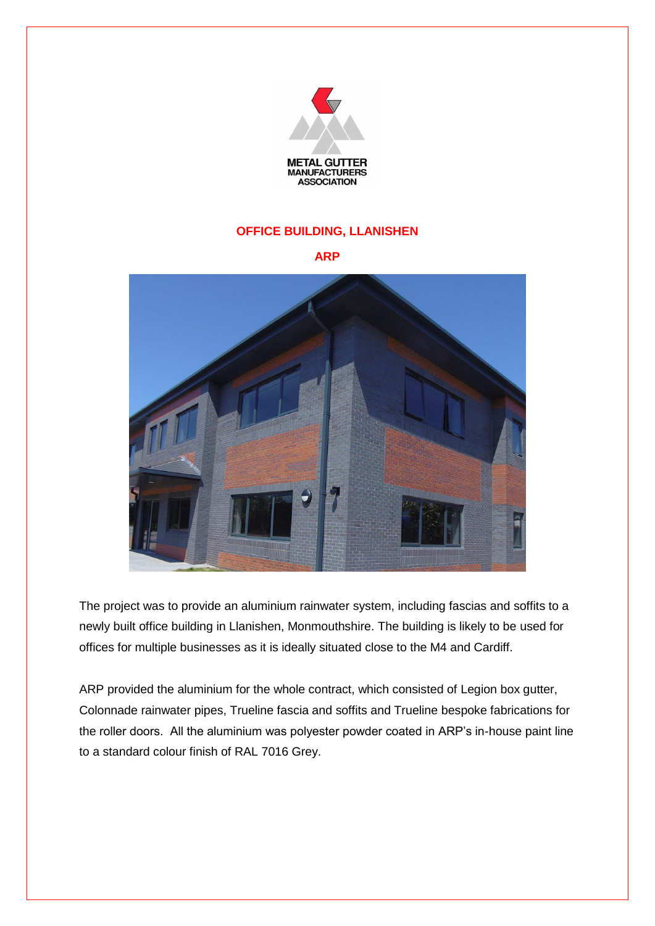

## **OFFICE BUILDING, LLANISHEN**

**ARP**



The project was to provide an aluminium rainwater system, including fascias and soffits to a newly built office building in Llanishen, Monmouthshire. The building is likely to be used for offices for multiple businesses as it is ideally situated close to the M4 and Cardiff.

ARP provided the aluminium for the whole contract, which consisted of Legion box gutter, Colonnade rainwater pipes, Trueline fascia and soffits and Trueline bespoke fabrications for the roller doors. All the aluminium was polyester powder coated in ARP's in-house paint line to a standard colour finish of RAL 7016 Grey.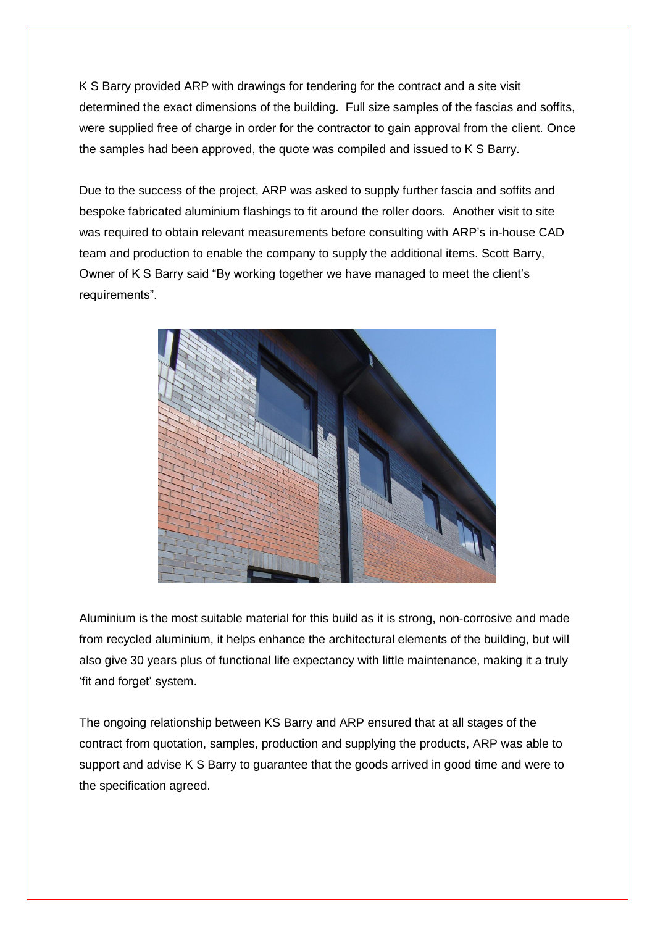K S Barry provided ARP with drawings for tendering for the contract and a site visit determined the exact dimensions of the building. Full size samples of the fascias and soffits, were supplied free of charge in order for the contractor to gain approval from the client. Once the samples had been approved, the quote was compiled and issued to K S Barry.

Due to the success of the project, ARP was asked to supply further fascia and soffits and bespoke fabricated aluminium flashings to fit around the roller doors. Another visit to site was required to obtain relevant measurements before consulting with ARP's in-house CAD team and production to enable the company to supply the additional items. Scott Barry, Owner of K S Barry said "By working together we have managed to meet the client's requirements".



Aluminium is the most suitable material for this build as it is strong, non-corrosive and made from recycled aluminium, it helps enhance the architectural elements of the building, but will also give 30 years plus of functional life expectancy with little maintenance, making it a truly 'fit and forget' system.

The ongoing relationship between KS Barry and ARP ensured that at all stages of the contract from quotation, samples, production and supplying the products, ARP was able to support and advise K S Barry to guarantee that the goods arrived in good time and were to the specification agreed.